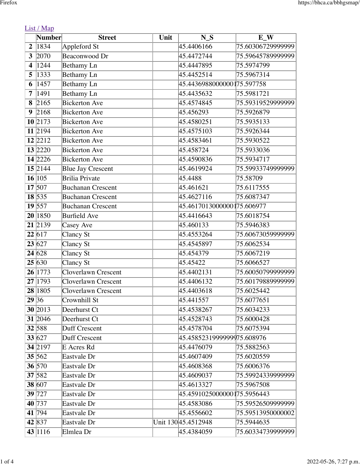|  | . |  |
|--|---|--|
|  |   |  |

|                | Number              | <b>Street</b>            | Unit | $N_S$                        | $\overline{\mathbf{E}}$ W |
|----------------|---------------------|--------------------------|------|------------------------------|---------------------------|
| $\overline{2}$ | 1834                | Appleford St             |      | 45.4406166                   | 75.60306729999999         |
| 3              | 2070                | Beaconwood Dr            |      | 45.4472744                   | 75.59645789999999         |
| 4              | 1244                | <b>Bethamy</b> Ln        |      | 45.4447895                   | 75.5974799                |
| 5              | 1333                | Bethamy Ln               |      | 45.4452514                   | 75.5967314                |
| 6              | 1457                | Bethamy Ln               |      | 45.4436988000000175.597758   |                           |
| 7              | 1491                | <b>Bethamy</b> Ln        |      | 45.4435632                   | 75.5981721                |
| 8              | 2165                | <b>Bickerton</b> Ave     |      | 45.4574845                   | 75.59319529999999         |
| 9              | 2168                | <b>Bickerton</b> Ave     |      | 45.456293                    | 75.5926879                |
|                | 10 2173             | <b>Bickerton</b> Ave     |      | 45.4580251                   | 75.5935133                |
|                | 11 2194             | <b>Bickerton</b> Ave     |      | 45.4575103                   | 75.5926344                |
|                | 12 2212             | <b>Bickerton</b> Ave     |      | 45.4583461                   | 75.5930522                |
|                | 13 2220             | <b>Bickerton</b> Ave     |      | 45.458724                    | 75.5933036                |
|                | 14 2226             | <b>Bickerton</b> Ave     |      | 45.4590836                   | 75.5934717                |
|                | $15\overline{2144}$ | <b>Blue Jay Crescent</b> |      | 45.4619924                   | 75.59933749999999         |
|                | 16 105              | <b>Brilia Private</b>    |      | 45.4488                      | 75.58709                  |
|                | 17 507              | <b>Buchanan Crescent</b> |      | 45.461621                    | 75.6117555                |
|                | $\overline{18}$ 535 | <b>Buchanan Crescent</b> |      | 45.4627116                   | 75.6087347                |
|                | 19 557              | <b>Buchanan Crescent</b> |      | 45.46170130000001 75.606977  |                           |
|                | 20 1850             | <b>Burfield Ave</b>      |      | 45.4416643                   | 75.6018754                |
|                | 21 2139             | Casey Ave                |      | 45.460133                    | 75.5946383                |
|                | 22 617              | Clancy St                |      | 45.4553264                   | 75.60673059999999         |
|                | 23 627              | Clancy St                |      | 45.4545897                   | 75.6062534                |
|                | 24 628              | Clancy St                |      | 45.454379                    | 75.6067219                |
|                | 25 630              | Clancy St                |      | 45.45422                     | 75.6066527                |
|                | 26 1773             | Cloverlawn Crescent      |      | 45.4402131                   | 75.60050799999999         |
|                | 27 1793             | Cloverlawn Crescent      |      | 45.4406132                   | 75.60179889999999         |
|                | 28 1805             | Cloverlawn Crescent      |      | 45.4403618                   | 75.6025442                |
| 29 36          |                     | Crownhill St             |      | 45.441557                    | 75.6077651                |
|                | 30 2013             | Deerhurst Ct             |      | 45.4538267                   | 75.6034233                |
|                | 31 2046             | Deerhurst Ct             |      | 45.4528743                   | 75.6000428                |
|                | 32 588              | Duff Crescent            |      | 45.4578704                   | 75.6075394                |
|                | 33 627              | Duff Crescent            |      | 45.4585231999999975.608976   |                           |
|                | 34 2197             | E Acres Rd               |      | 45.4476079                   | 75.5882563                |
|                | 35 562              | Eastvale Dr              |      | 45.4607409                   | 75.6020559                |
|                | 36 570              | Eastvale Dr              |      | 45.4608368                   | 75.6006376                |
|                | 37 582              | Eastvale Dr              |      | 45.4609037                   | 75.59924339999999         |
|                | 38 607              | Eastvale Dr              |      | 45.4613327                   | 75.5967508                |
|                | 39 727              | Eastvale Dr              |      | 45.45910250000001 75.5956443 |                           |
|                | 40 737              | Eastvale Dr              |      | 45.4583086                   | 75.59526509999999         |
|                | 41 794              | Eastvale Dr              |      | 45.4556602                   | 75.59513950000002         |
|                | 42 837              | Eastvale Dr              |      | Unit 130 45.4512948          | 75.5944635                |
|                | 43 1116             | Elmlea Dr                |      | 45.4384059                   | 75.60334739999999         |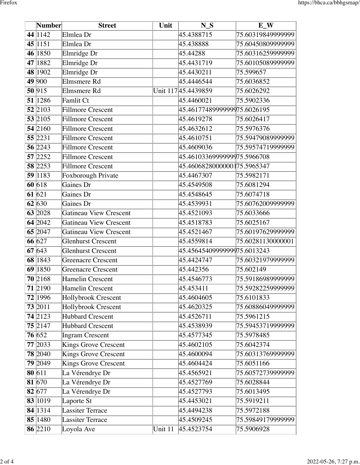|    | Number              | <b>Street</b>                 | Unit    | $N_S$                       | $E_{W}$           |
|----|---------------------|-------------------------------|---------|-----------------------------|-------------------|
|    | 44 1142             | Elmlea Dr                     |         | 45.4388715                  | 75.60319849999999 |
|    | 45 1151             | Elmlea Dr                     |         | 45.438888                   | 75.60450809999999 |
|    | 46 1850             | Elmridge Dr                   |         | 45.44288                    | 75.60316259999999 |
|    | 47 1882             | Elmridge Dr                   |         | 45.4431719                  | 75.60105089999999 |
|    | 48 1902             | Elmridge Dr                   |         | 45.4430211                  | 75.599657         |
|    | 49 900              | Elmsmere Rd                   |         | 45.4446544                  | 75.6036852        |
|    | 50 915              | Elmsmere Rd                   |         | Unit 117 45.4439859         | 75.6026292        |
|    | 51 1286             | Famlit Ct                     |         | 45.4460021                  | 75.5902336        |
|    | 52 2103             | <b>Fillmore Crescent</b>      |         | 45.4617748999999975.6026195 |                   |
|    | 53 2105             | <b>Fillmore Crescent</b>      |         | 45.4619278                  | 75.6026417        |
|    | 54 2160             | Fillmore Crescent             |         | 45.4632612                  | 75.5976376        |
|    | 55 2231             | <b>Fillmore Crescent</b>      |         | 45.4610751                  | 75.59479089999999 |
|    | 56 2243             | <b>Fillmore Crescent</b>      |         | 45.4609036                  | 75.59574719999999 |
|    | 57 2252             | <b>Fillmore Crescent</b>      |         | 45.4610336999999975.5966708 |                   |
|    | 58 2253             | <b>Fillmore Crescent</b>      |         | 45.4606828000000175.5965347 |                   |
|    | 59 1183             | Foxborough Private            |         | 45.4467307                  | 75.5982171        |
|    | 60618               | Gaines Dr                     |         | 45.4549508                  | 75.6081294        |
|    | 61 $621$            | Gaines Dr                     |         | 45.4548645                  | 75.6074718        |
|    | 62 630              | Gaines Dr                     |         | 45.4539931                  | 75.60762009999999 |
|    | 63 2028             | Gatineau View Crescent        |         | 45.4521093                  | 75.6033666        |
|    | $64\overline{2042}$ | <b>Gatineau View Crescent</b> |         | 45.4518783                  | 75.6025167        |
|    | 65 2047             | Gatineau View Crescent        |         | 45.4521467                  | 75.60197629999999 |
|    | 66 627              | <b>Glenhurst Crescent</b>     |         | 45.4559814                  | 75.60281130000001 |
|    | 67 643              | <b>Glenhurst Crescent</b>     |         | 45.4564540999999975.6013243 |                   |
|    | 68 1843             | Greenacre Crescent            |         | 45.4424747                  | 75.60321979999999 |
| 69 | 1850                | <b>Greenacre Crescent</b>     |         | 45.442356                   | 75.602149         |
|    | 70 2168             | Hamelin Crescent              |         | 45.4546773                  | 75.59186989999999 |
|    | 71 2190             | Hamelin Crescent              |         | 45.453411                   | 75.59282259999999 |
|    | 72 1996             | Hollybrook Crescent           |         | 45.4604605                  | 75.6101833        |
|    | 73 2011             | Hollybrook Crescent           |         | 45.4620325                  | 75.60886049999999 |
|    | 74 2123             | <b>Hubbard Crescent</b>       |         | 45.4526711                  | 75.5961215        |
|    | 75 2147             | <b>Hubbard Crescent</b>       |         | 45.4538939                  | 75.59453719999999 |
|    | 76 652              | Ingram Crescent               |         | 45.4577345                  | 75.5978485        |
|    | 77 2033             | Kings Grove Crescent          |         | 45.4602105                  | 75.6042374        |
|    | 78 2040             | Kings Grove Crescent          |         | 45.4600094                  | 75.60313769999999 |
|    | 79 2049             | Kings Grove Crescent          |         | 45.4604424                  | 75.6051166        |
|    | 80 611              | La Vérendrye Dr               |         | 45.4565921                  | 75.60572739999999 |
|    | 81 670              | La Vérendrye Dr               |         | 45.4527769                  | 75.6028844        |
|    | 82 677              | La Vérendrye Dr               |         | 45.4527793                  | 75.6013495        |
|    | 83 1019             | Laporte $S_t$                 |         | 45.4453021                  | 75.5919211        |
|    | 84 1314             | <b>Lassiter Terrace</b>       |         | 45.4494238                  | 75.5972188        |
|    | 85 1480             | Lassiter Terrace              |         | 45.4509245                  | 75.59849179999999 |
|    | 86 2210             | Loyola Ave                    | Unit 11 | 45.4523754                  | 75.5906928        |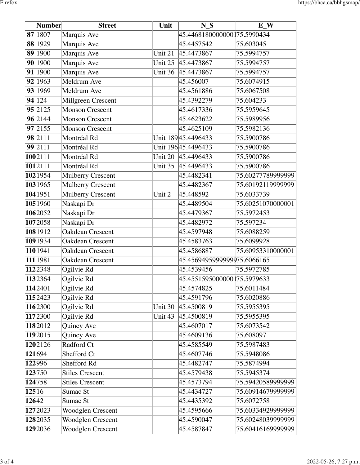|        | Number               | <b>Street</b>            | Unit    | $N_S$                        | $E_{N}$           |
|--------|----------------------|--------------------------|---------|------------------------------|-------------------|
|        | 87 1807              | Marquis Ave              |         | 45.44681800000001 75.5990434 |                   |
|        | 88 1929              | Marquis Ave              |         | 45.4457542                   | 75.603045         |
|        | 89 1900              | Marquis Ave              | Unit 21 | 45.4473867                   | 75.5994757        |
|        | 90 1900              | Marquis Ave              | Unit 25 | 45.4473867                   | 75.5994757        |
|        | 91 1900              | Marquis Ave              | Unit 36 | 45.4473867                   | 75.5994757        |
|        | 92 1963              | Meldrum Ave              |         | 45.456007                    | 75.6074915        |
|        | 93 1969              | Meldrum Ave              |         | 45.4561886                   | 75.6067508        |
|        | 94 124               | Millgreen Crescent       |         | 45.4392279                   | 75.604233         |
|        | 95 2125              | <b>Monson Crescent</b>   |         | 45.4617336                   | 75.5959645        |
|        | 96 2144              | Monson Crescent          |         | 45.4623622                   | 75.5989956        |
|        | 97 2155              | <b>Monson Crescent</b>   |         | 45.4625109                   | 75.5982136        |
|        | $98\overline{2111}$  | Montréal Rd              |         | Unit 18945.4496433           | 75.5900786        |
|        | $\overline{99}$ 2111 | Montréal Rd              |         | Unit 19645.4496433           | 75.5900786        |
|        | 1002111              | Montréal Rd              | Unit 20 | 45.4496433                   | 75.5900786        |
|        | 1012111              | Montréal Rd              | Unit 35 | 45.4496433                   | 75.5900786        |
|        | $102$  1954          | Mulberry Crescent        |         | 45.4482341                   | 75.60277789999999 |
|        | 103 1965             | <b>Mulberry Crescent</b> |         | 45.4482367                   | 75.60192119999999 |
|        | $104$ 1951           | Mulberry Crescent        | Unit 2  | 45.448592                    | 75.6033739        |
|        | 105 1960             | Naskapi Dr               |         | 45.4489504                   | 75.60251070000001 |
|        | 1062052              | Naskapi Dr               |         | 45.4479367                   | 75.5972453        |
|        | 1072058              | Naskapi Dr               |         | 45.4482972                   | 75.597234         |
|        | 108 1912             | Oakdean Crescent         |         | 45.4597948                   | 75.6088259        |
|        | 109 1934             | Oakdean Crescent         |         | 45.4583763                   | 75.6099928        |
|        | 110 1941             | Oakdean Crescent         |         | 45.4586887                   | 75.60953310000001 |
|        | 111 1981             | Oakdean Crescent         |         | 45.4569495999999975.6066165  |                   |
|        | 112 2348             | Ogilvie Rd               |         | 45.4539456                   | 75.5972785        |
|        | 113 2364             | Ogilvie Rd               |         | 45.4551595000000175.5979633  |                   |
|        | 114 2401             | Ogilvie Rd               |         | 45.4574825                   | 75.6011484        |
|        | 115 2423             | Ogilvie Rd               |         | 45.4591796                   | 75.6020886        |
|        | 116 2300             | Ogilvie Rd               | Unit 30 | 45.4500819                   | 75.5955395        |
|        | 117 2300             | Ogilvie Rd               | Unit 43 | 45.4500819                   | 75.5955395        |
|        | 118 2012             | Quincy Ave               |         | 45.4607017                   | 75.6073542        |
|        | 119 2015             | Quincy Ave               |         | 45.4609136                   | 75.608097         |
|        | 1202126              | Radford Ct               |         | 45.4585549                   | 75.5987483        |
| 121694 |                      | Shefford Ct              |         | 45.4607746                   | 75.5948086        |
| 122996 |                      | Shefford Rd              |         | 45.4482747                   | 75.5874994        |
| 123750 |                      | <b>Stiles Crescent</b>   |         | 45.4579438                   | 75.5945374        |
| 124758 |                      | <b>Stiles Crescent</b>   |         | 45.4573794                   | 75.59420589999999 |
| 125 16 |                      | Sumac St                 |         | 45.4434727                   | 75.60914679999999 |
| 12642  |                      | Sumac St                 |         | 45.4435392                   | 75.6072758        |
|        | 127 2023             | Woodglen Crescent        |         | 45.4595666                   | 75.60334929999999 |
|        | 128 2035             | Woodglen Crescent        |         | 45.4590047                   | 75.60248039999999 |
|        | 129 2036             | Woodglen Crescent        |         | 45.4587847                   | 75.60416169999999 |